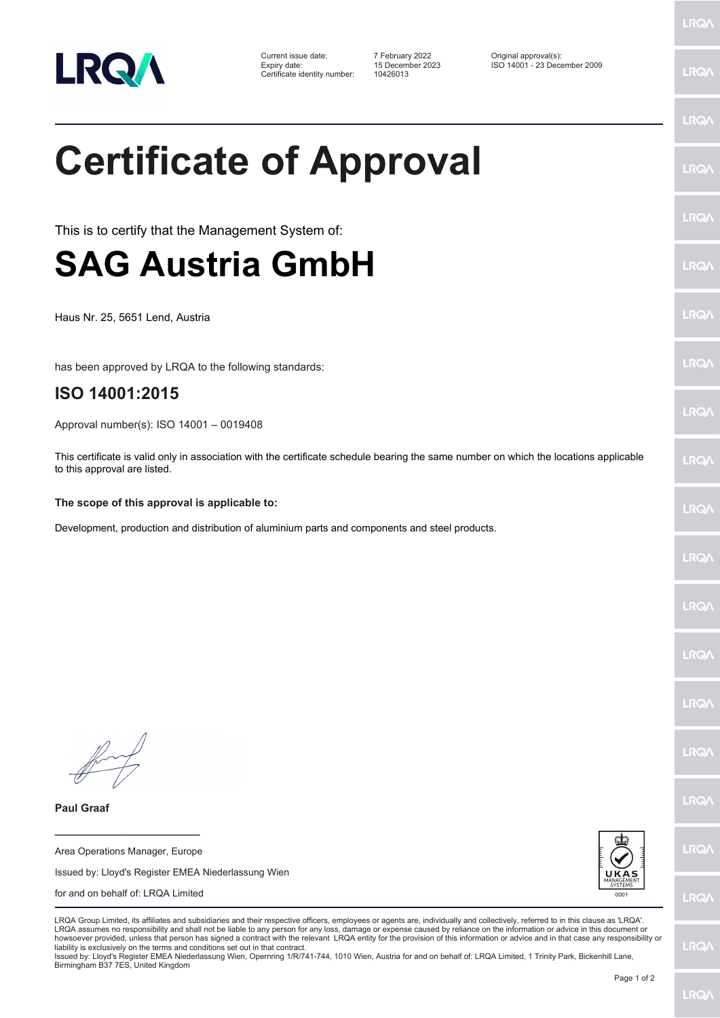

Certificate identity number: 10426013

Current issue date: 7 February 2022 Original approval(s): Expiry date: 15 December 2023 ISO 14001 - 23 December 2009

## **Certificate of Approval**

This is to certify that the Management System of:

## **SAG Austria GmbH**

Haus Nr. 25, 5651 Lend, Austria

has been approved by LRQA to the following standards:

## **ISO 14001:2015**

Approval number(s): ISO 14001 – 0019408

This certificate is valid only in association with the certificate schedule bearing the same number on which the locations applicable to this approval are listed.

## **The scope of this approval is applicable to:**

Development, production and distribution of aluminium parts and components and steel products.

**\_\_\_\_\_\_\_\_\_\_\_\_\_\_\_\_\_\_\_\_\_\_\_\_**

**Paul Graaf**

Area Operations Manager, Europe Issued by: Lloyd's Register EMEA Niederlassung Wien for and on behalf of: LRQA Limited



LRQA Group Limited, its affiliates and subsidiaries and their respective officers, employees or agents are, individually and collectively, referred to in this clause as 'LRQA'. LRQA assumes no responsibility and shall not be liable to any person for any loss, damage or expense caused by reliance on the information or advice in this document or howsoever provided, unless that person has signed a contract with the relevant LRQA entity for the provision of this information or advice and in that case any responsibility or liability is exclusively on the terms and conditions set out in that contract.

Issued by: Lloyd's Register EMEA Niederlassung Wien, Opernring 1/R/741-744, 1010 Wien, Austria for and on behalf of: LRQA Limited, 1 Trinity Park, Bickenhill Lane, Birmingham B37 7ES, United Kingdom

LRQ/

LRQ/

LRQ/

LRQ/

LRQ/

LRQ/

LRQ/

**LRQA** 

**LRO** 

LRQ/

LRQ/

LRQ/

LRQ/

LRQ/

**IRQA** 

LRQ/

LRQ/

**LRQ/** 

LRQ/